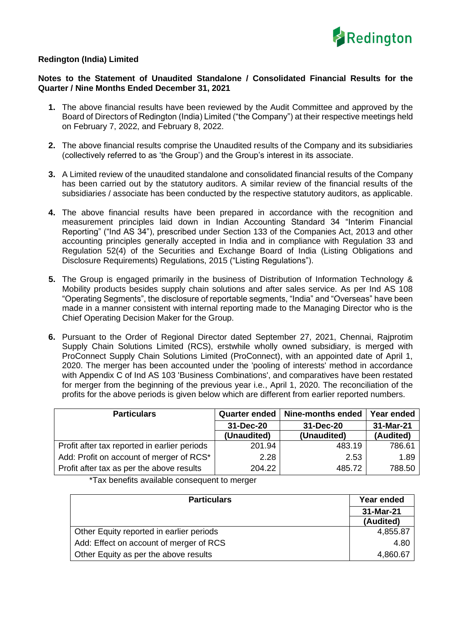

## **Redington (India) Limited**

## **Notes to the Statement of Unaudited Standalone / Consolidated Financial Results for the Quarter / Nine Months Ended December 31, 2021**

- **1.** The above financial results have been reviewed by the Audit Committee and approved by the Board of Directors of Redington (India) Limited ("the Company") at their respective meetings held on February 7, 2022, and February 8, 2022.
- **2.** The above financial results comprise the Unaudited results of the Company and its subsidiaries (collectively referred to as 'the Group') and the Group's interest in its associate.
- **3.** A Limited review of the unaudited standalone and consolidated financial results of the Company has been carried out by the statutory auditors. A similar review of the financial results of the subsidiaries / associate has been conducted by the respective statutory auditors, as applicable.
- **4.** The above financial results have been prepared in accordance with the recognition and measurement principles laid down in Indian Accounting Standard 34 "Interim Financial Reporting" ("Ind AS 34"), prescribed under Section 133 of the Companies Act, 2013 and other accounting principles generally accepted in India and in compliance with Regulation 33 and Regulation 52(4) of the Securities and Exchange Board of India (Listing Obligations and Disclosure Requirements) Regulations, 2015 ("Listing Regulations").
- **5.** The Group is engaged primarily in the business of Distribution of Information Technology & Mobility products besides supply chain solutions and after sales service. As per Ind AS 108 "Operating Segments", the disclosure of reportable segments, "India" and "Overseas" have been made in a manner consistent with internal reporting made to the Managing Director who is the Chief Operating Decision Maker for the Group.
- **6.** Pursuant to the Order of Regional Director dated September 27, 2021, Chennai, Rajprotim Supply Chain Solutions Limited (RCS), erstwhile wholly owned subsidiary, is merged with ProConnect Supply Chain Solutions Limited (ProConnect), with an appointed date of April 1, 2020. The merger has been accounted under the 'pooling of interests' method in accordance with Appendix C of Ind AS 103 'Business Combinations', and comparatives have been restated for merger from the beginning of the previous year i.e., April 1, 2020. The reconciliation of the profits for the above periods is given below which are different from earlier reported numbers.

| <b>Particulars</b>                           | Quarter ended | Nine-months ended | Year ended |
|----------------------------------------------|---------------|-------------------|------------|
|                                              | 31-Dec-20     | 31-Dec-20         | 31-Mar-21  |
|                                              | (Unaudited)   | (Unaudited)       | (Audited)  |
| Profit after tax reported in earlier periods | 201.94        | 483.19            | 786.61     |
| Add: Profit on account of merger of RCS*     | 2.28          | 2.53              | 1.89       |
| Profit after tax as per the above results    | 204.22        | 485.72            | 788.50     |

\*Tax benefits available consequent to merger

| <b>Particulars</b>                       | Year ended |
|------------------------------------------|------------|
|                                          | 31-Mar-21  |
|                                          | (Audited)  |
| Other Equity reported in earlier periods | 4,855.87   |
| Add: Effect on account of merger of RCS  | 4.80       |
| Other Equity as per the above results    | 4,860.67   |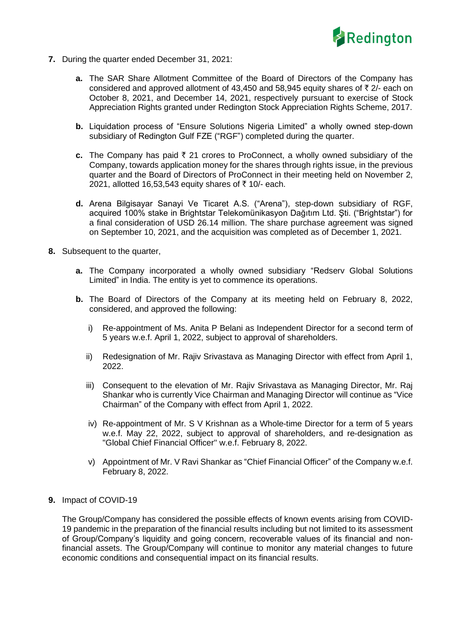

- **7.** During the quarter ended December 31, 2021:
	- **a.** The SAR Share Allotment Committee of the Board of Directors of the Company has considered and approved allotment of 43,450 and 58,945 equity shares of  $\bar{\tau}$  2/- each on October 8, 2021, and December 14, 2021, respectively pursuant to exercise of Stock Appreciation Rights granted under Redington Stock Appreciation Rights Scheme, 2017.
	- **b.** Liquidation process of "Ensure Solutions Nigeria Limited" a wholly owned step-down subsidiary of Redington Gulf FZE ("RGF") completed during the quarter.
	- **c.** The Company has paid  $\bar{\tau}$  21 crores to ProConnect, a wholly owned subsidiary of the Company, towards application money for the shares through rights issue, in the previous quarter and the Board of Directors of ProConnect in their meeting held on November 2, 2021, allotted 16,53,543 equity shares of ₹10/- each.
	- **d.** Arena Bilgisayar Sanayi Ve Ticaret A.S. ("Arena"), step-down subsidiary of RGF, acquired 100% stake in Brightstar Telekomünikasyon Dağıtım Ltd. Şti. ("Brightstar") for a final consideration of USD 26.14 million. The share purchase agreement was signed on September 10, 2021, and the acquisition was completed as of December 1, 2021.
- **8.** Subsequent to the quarter,
	- **a.** The Company incorporated a wholly owned subsidiary "Redserv Global Solutions Limited" in India. The entity is yet to commence its operations.
	- **b.** The Board of Directors of the Company at its meeting held on February 8, 2022, considered, and approved the following:
		- i) Re-appointment of Ms. Anita P Belani as Independent Director for a second term of 5 years w.e.f. April 1, 2022, subject to approval of shareholders.
		- ii) Redesignation of Mr. Rajiv Srivastava as Managing Director with effect from April 1, 2022.
		- iii) Consequent to the elevation of Mr. Rajiv Srivastava as Managing Director, Mr. Raj Shankar who is currently Vice Chairman and Managing Director will continue as "Vice Chairman" of the Company with effect from April 1, 2022.
		- iv) Re-appointment of Mr. S V Krishnan as a Whole-time Director for a term of 5 years w.e.f. May 22, 2022, subject to approval of shareholders, and re-designation as "Global Chief Financial Officer" w.e.f. February 8, 2022.
		- v) Appointment of Mr. V Ravi Shankar as "Chief Financial Officer" of the Company w.e.f. February 8, 2022.
- **9.** Impact of COVID-19

The Group/Company has considered the possible effects of known events arising from COVID-19 pandemic in the preparation of the financial results including but not limited to its assessment of Group/Company's liquidity and going concern, recoverable values of its financial and nonfinancial assets. The Group/Company will continue to monitor any material changes to future economic conditions and consequential impact on its financial results.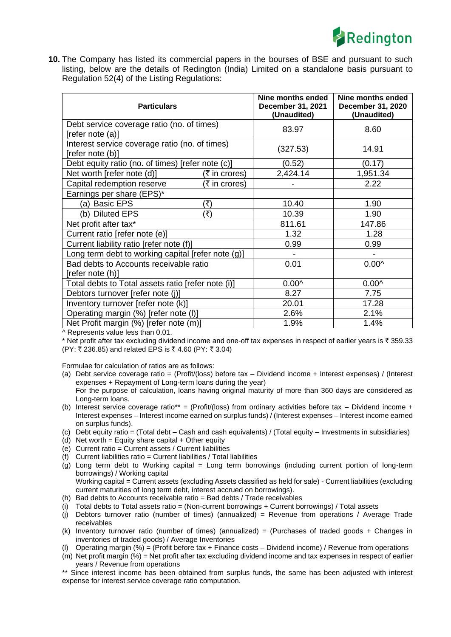

**10.** The Company has listed its commercial papers in the bourses of BSE and pursuant to such listing, below are the details of Redington (India) Limited on a standalone basis pursuant to Regulation 52(4) of the Listing Regulations:

| <b>Particulars</b>                                                 | Nine months ended<br>December 31, 2021<br>(Unaudited) | Nine months ended<br>December 31, 2020<br>(Unaudited) |
|--------------------------------------------------------------------|-------------------------------------------------------|-------------------------------------------------------|
| Debt service coverage ratio (no. of times)<br>[refer note (a)]     | 83.97                                                 | 8.60                                                  |
| Interest service coverage ratio (no. of times)<br>[refer note (b)] | (327.53)                                              | 14.91                                                 |
| Debt equity ratio (no. of times) [refer note (c)]                  | (0.52)                                                | (0.17)                                                |
| Net worth [refer note (d)]<br>(₹ in crores)                        | 2,424.14                                              | 1,951.34                                              |
| (₹ in crores)<br>Capital redemption reserve                        |                                                       | 2.22                                                  |
| Earnings per share (EPS)*                                          |                                                       |                                                       |
| (a) Basic EPS<br>(₹)                                               | 10.40                                                 | 1.90                                                  |
| (b) Diluted EPS<br>(₹)                                             | 10.39                                                 | 1.90                                                  |
| Net profit after tax*                                              | 811.61                                                | 147.86                                                |
| Current ratio [refer note (e)]                                     | 1.32                                                  | 1.28                                                  |
| Current liability ratio [refer note (f)]                           | 0.99                                                  | 0.99                                                  |
| Long term debt to working capital [refer note (g)]                 |                                                       |                                                       |
| Bad debts to Accounts receivable ratio<br>[refer note (h)]         | 0.01                                                  | $0.00^{\circ}$                                        |
| Total debts to Total assets ratio [refer note (i)]                 | $0.00^$                                               | $0.00^$                                               |
| Debtors turnover [refer note (j)]                                  | 8.27                                                  | 7.75                                                  |
| Inventory turnover [refer note (k)]                                | 20.01                                                 | 17.28                                                 |
| Operating margin (%) [refer note (I)]                              | 2.6%                                                  | 2.1%                                                  |
| Net Profit margin (%) [refer note (m)]                             | 1.9%                                                  | 1.4%                                                  |

^ Represents value less than 0.01.

\* Net profit after tax excluding dividend income and one-off tax expenses in respect of earlier years is  $\bar{\tau}$  359.33  $(PY: ₹ 236.85)$  and related EPS is ₹ 4.60 (PY: ₹ 3.04)

Formulae for calculation of ratios are as follows:

- (a) Debt service coverage ratio = (Profit/(loss) before tax Dividend income + Interest expenses) / (Interest expenses + Repayment of Long-term loans during the year) For the purpose of calculation, loans having original maturity of more than 360 days are considered as Long-term loans.
- (b) Interest service coverage ratio\*\* = (Profit/(loss) from ordinary activities before tax Dividend income + Interest expenses – Interest income earned on surplus funds) / (Interest expenses – Interest income earned on surplus funds).
- (c) Debt equity ratio = (Total debt Cash and cash equivalents) / (Total equity Investments in subsidiaries)
- (d) Net worth = Equity share capital + Other equity
- (e) Current ratio = Current assets / Current liabilities
- (f) Current liabilities ratio = Current liabilities / Total liabilities
- (g) Long term debt to Working capital = Long term borrowings (including current portion of long-term borrowings) / Working capital

Working capital = Current assets (excluding Assets classified as held for sale) - Current liabilities (excluding current maturities of Iong term debt, interest accrued on borrowings).

- (h) Bad debts to Accounts receivable ratio = Bad debts / Trade receivables
- (i) Total debts to Total assets ratio = (Non-current borrowings + Current borrowings) / Total assets
- (j) Debtors turnover ratio (number of times) (annualized) = Revenue from operations / Average Trade receivables
- (k) Inventory turnover ratio (number of times) (annualized) = (Purchases of traded goods + Changes in inventories of traded goods) / Average Inventories
- (l) Operating margin  $(\%)$  = (Profit before tax + Finance costs Dividend income) / Revenue from operations
- (m) Net profit margin (%) = Net profit after tax excluding dividend income and tax expenses in respect of earlier years / Revenue from operations

\*\* Since interest income has been obtained from surplus funds, the same has been adjusted with interest expense for interest service coverage ratio computation.